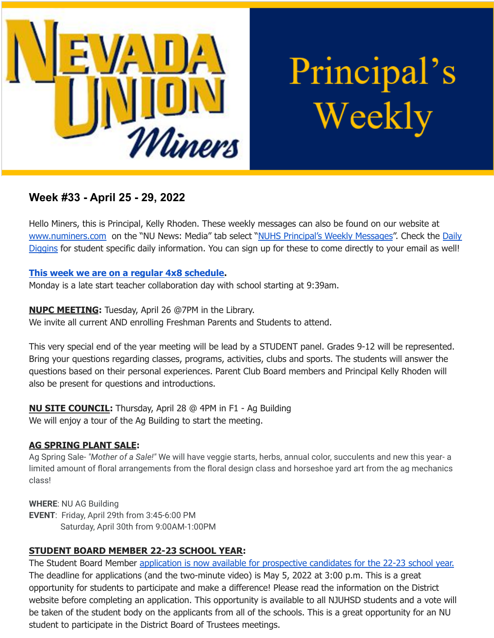

Principal's Weekly

# **Week #33 - April 25 - 29, 2022**

Hello Miners, this is Principal, Kelly Rhoden. These weekly messages can also be found on our website at [www.numiners.com](http://www.numiners.com) on the "NU News: Media" tab select "NUHS [Principal's](https://nevadaunion.njuhsd.com/NU-NewsMedia/NUHS-Principals-Weekly-Messages/index.html) Weekly Messages". Check the [Daily](https://nevadaunion.njuhsd.com/NU-NewsMedia/Daily-Diggins-Bulletin/index.html) [Diggins](https://nevadaunion.njuhsd.com/NU-NewsMedia/Daily-Diggins-Bulletin/index.html) for student specific daily information. You can sign up for these to come directly to your email as well!

#### **This week we are on a regular 4x8 [schedule.](https://nevadaunion.njuhsd.com/documents/Bell%20Schedules/Bell-Schedule-2021-2022-NUHS-4x8.pdf)**

Monday is a late start teacher collaboration day with school starting at 9:39am.

# **NUPC MEETING:** Tuesday, April 26 @7PM in the Library.

We invite all current AND enrolling Freshman Parents and Students to attend.

This very special end of the year meeting will be lead by a STUDENT panel. Grades 9-12 will be represented. Bring your questions regarding classes, programs, activities, clubs and sports. The students will answer the questions based on their personal experiences. Parent Club Board members and Principal Kelly Rhoden will also be present for questions and introductions.

**NU SITE COUNCIL:** Thursday, April 28 @ 4PM in F1 - Ag Building We will enjoy a tour of the Ag Building to start the meeting.

# **AG SPRING PLANT SALE:**

Ag Spring Sale- *"Mother of a Sale!"* We will have veggie starts, herbs, annual color, succulents and new this year- a limited amount of floral arrangements from the floral design class and horseshoe yard art from the ag mechanics class!

**WHERE**: NU AG Building **EVENT**: Friday, April 29th from 3:45-6:00 PM Saturday, April 30th from 9:00AM-1:00PM

# **STUDENT BOARD MEMBER 22-23 SCHOOL YEAR:**

The Student Board Member application is now available for [prospective](https://www.njuhsd.com/Our-District/Board-Student-Representative-Election/index.html) candidates for the 22-23 school year. The deadline for applications (and the two-minute video) is May 5, 2022 at 3:00 p.m. This is a great opportunity for students to participate and make a difference! Please read the information on the District website before completing an application. This opportunity is available to all NJUHSD students and a vote will be taken of the student body on the applicants from all of the schools. This is a great opportunity for an NU student to participate in the District Board of Trustees meetings.